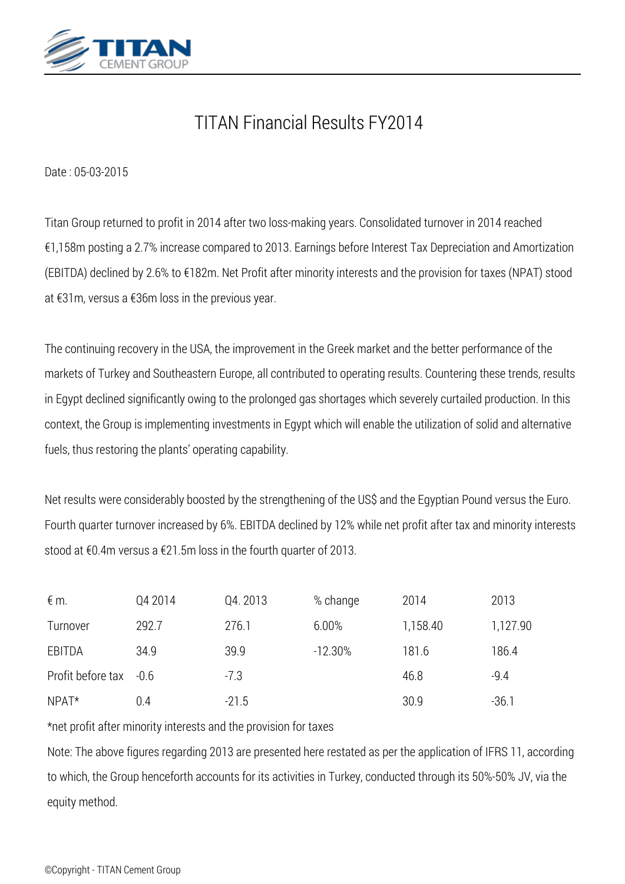

# *TITAN Financial Results FY2014*

*Date : 05-03-2015*

*Titan Group returned to profit in 2014 after two loss-making years. Consolidated turnover in 2014 reached €1,158m posting a 2.7% increase compared to 2013. Earnings before Interest Tax Depreciation and Amortization (EBITDA) declined by 2.6% to €182m. Net Profit after minority interests and the provision for taxes (NPAT) stood at €31m, versus a €36m loss in the previous year.*

*The continuing recovery in the USA, the improvement in the Greek market and the better performance of the markets of Turkey and Southeastern Europe, all contributed to operating results. Countering these trends, results in Egypt declined significantly owing to the prolonged gas shortages which severely curtailed production. In this context, the Group is implementing investments in Egypt which will enable the utilization of solid and alternative fuels, thus restoring the plants' operating capability.*

*Net results were considerably boosted by the strengthening of the US\$ and the Egyptian Pound versus the Euro. Fourth quarter turnover increased by 6%. EBITDA declined by 12% while net profit after tax and minority interests stood at €0.4m versus a €21.5m loss in the fourth quarter of 2013.*

| $\notin$ m.            | Q4 2014 | Q4.2013 | % change  | 2014     | 2013     |
|------------------------|---------|---------|-----------|----------|----------|
| Turnover               | 292.7   | 276.1   | 6.00%     | 1,158.40 | 1,127.90 |
| EBITDA                 | 34.9    | 39.9    | $-12.30%$ | 181.6    | 186.4    |
| Profit before tax -0.6 |         | $-7.3$  |           | 46.8     | $-9.4$   |
| $NPAT*$                | 0.4     | $-21.5$ |           | 30.9     | $-36.1$  |

*\*net profit after minority interests and the provision for taxes*

*Note: The above figures regarding 2013 are presented here restated as per the application of IFRS 11, according to which, the Group henceforth accounts for its activities in Turkey, conducted through its 50%-50% JV, via the equity method.*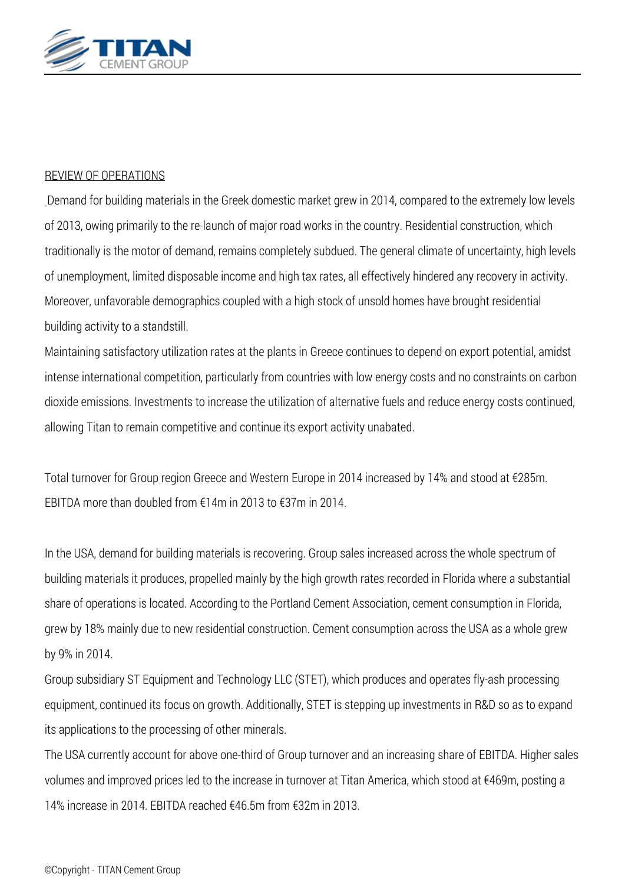

### *REVIEW OF OPERATIONS*

*Demand for building materials in the Greek domestic market grew in 2014, compared to the extremely low levels of 2013, owing primarily to the re-launch of major road works in the country. Residential construction, which traditionally is the motor of demand, remains completely subdued. The general climate of uncertainty, high levels of unemployment, limited disposable income and high tax rates, all effectively hindered any recovery in activity. Moreover, unfavorable demographics coupled with a high stock of unsold homes have brought residential building activity to a standstill.*

*Maintaining satisfactory utilization rates at the plants in Greece continues to depend on export potential, amidst intense international competition, particularly from countries with low energy costs and no constraints on carbon dioxide emissions. Investments to increase the utilization of alternative fuels and reduce energy costs continued, allowing Titan to remain competitive and continue its export activity unabated.*

*Total turnover for Group region Greece and Western Europe in 2014 increased by 14% and stood at €285m. EBITDA more than doubled from €14m in 2013 to €37m in 2014.*

*In the USA, demand for building materials is recovering. Group sales increased across the whole spectrum of building materials it produces, propelled mainly by the high growth rates recorded in Florida where a substantial share of operations is located. According to the Portland Cement Association, cement consumption in Florida, grew by 18% mainly due to new residential construction. Cement consumption across the USA as a whole grew by 9% in 2014.*

*Group subsidiary ST Equipment and Technology LLC (STET), which produces and operates fly-ash processing equipment, continued its focus on growth. Additionally, STET is stepping up investments in R&D so as to expand its applications to the processing of other minerals.*

*The USA currently account for above one-third of Group turnover and an increasing share of EBITDA. Higher sales volumes and improved prices led to the increase in turnover at Titan America, which stood at €469m, posting a 14% increase in 2014. EBITDA reached €46.5m from €32m in 2013.*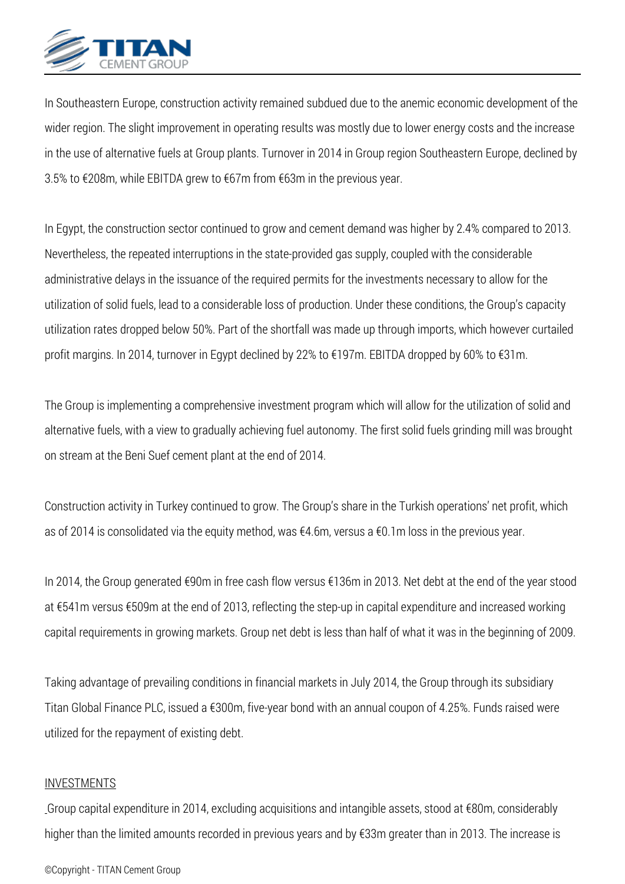

*In Southeastern Europe, construction activity remained subdued due to the anemic economic development of the wider region. The slight improvement in operating results was mostly due to lower energy costs and the increase in the use of alternative fuels at Group plants. Turnover in 2014 in Group region Southeastern Europe, declined by 3.5% to €208m, while EBITDA grew to €67m from €63m in the previous year.*

*In Egypt, the construction sector continued to grow and cement demand was higher by 2.4% compared to 2013. Nevertheless, the repeated interruptions in the state-provided gas supply, coupled with the considerable administrative delays in the issuance of the required permits for the investments necessary to allow for the utilization of solid fuels, lead to a considerable loss of production. Under these conditions, the Group's capacity utilization rates dropped below 50%. Part of the shortfall was made up through imports, which however curtailed profit margins. In 2014, turnover in Egypt declined by 22% to €197m. EBITDA dropped by 60% to €31m.*

*The Group is implementing a comprehensive investment program which will allow for the utilization of solid and alternative fuels, with a view to gradually achieving fuel autonomy. The first solid fuels grinding mill was brought on stream at the Beni Suef cement plant at the end of 2014.*

*Construction activity in Turkey continued to grow. The Group's share in the Turkish operations' net profit, which as of 2014 is consolidated via the equity method, was €4.6m, versus a €0.1m loss in the previous year.*

*In 2014, the Group generated €90m in free cash flow versus €136m in 2013. Net debt at the end of the year stood at €541m versus €509m at the end of 2013, reflecting the step-up in capital expenditure and increased working capital requirements in growing markets. Group net debt is less than half of what it was in the beginning of 2009.*

*Taking advantage of prevailing conditions in financial markets in July 2014, the Group through its subsidiary Titan Global Finance PLC, issued a €300m, five-year bond with an annual coupon of 4.25%. Funds raised were utilized for the repayment of existing debt.*

#### *INVESTMENTS*

*Group capital expenditure in 2014, excluding acquisitions and intangible assets, stood at €80m, considerably higher than the limited amounts recorded in previous years and by €33m greater than in 2013. The increase is*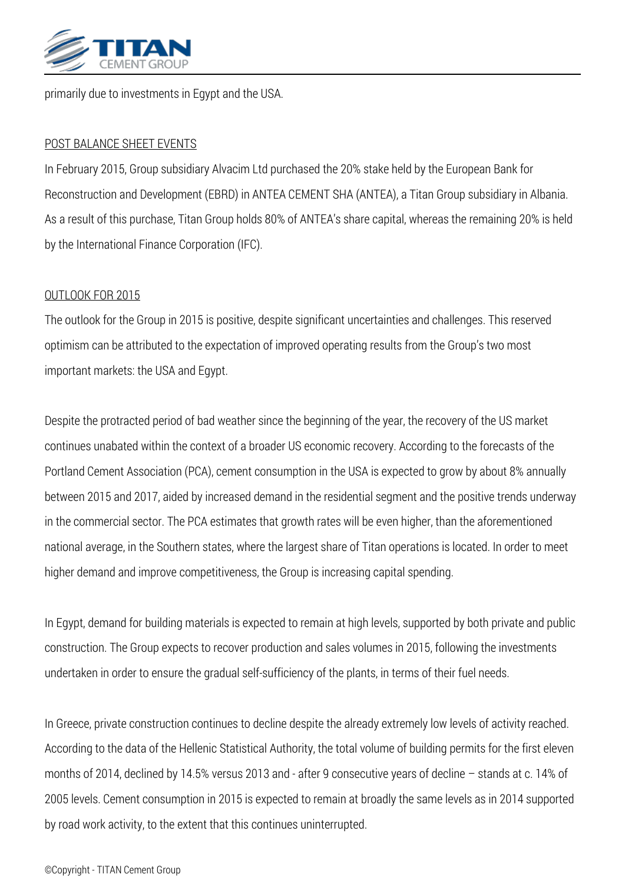

*primarily due to investments in Egypt and the USA.*

### *POST BALANCE SHEET EVENTS*

*In February 2015, Group subsidiary Alvacim Ltd purchased the 20% stake held by the European Bank for Reconstruction and Development (ΕBRD) in ANTEA CEMENT SHA (ΑΝΤΕΑ), a Titan Group subsidiary in Albania. As a result of this purchase, Titan Group holds 80% of ANTEA's share capital, whereas the remaining 20% is held by the International Finance Corporation (IFC).*

#### *OUTLOOK FOR 2015*

*The outlook for the Group in 2015 is positive, despite significant uncertainties and challenges. This reserved optimism can be attributed to the expectation of improved operating results from the Group's two most important markets: the USA and Egypt.*

*Despite the protracted period of bad weather since the beginning of the year, the recovery of the US market continues unabated within the context of a broader US economic recovery. According to the forecasts of the Portland Cement Association (PCA), cement consumption in the USA is expected to grow by about 8% annually between 2015 and 2017, aided by increased demand in the residential segment and the positive trends underway in the commercial sector. The PCA estimates that growth rates will be even higher, than the aforementioned national average, in the Southern states, where the largest share of Titan operations is located. In order to meet higher demand and improve competitiveness, the Group is increasing capital spending.*

*In Egypt, demand for building materials is expected to remain at high levels, supported by both private and public construction. The Group expects to recover production and sales volumes in 2015, following the investments undertaken in order to ensure the gradual self-sufficiency of the plants, in terms of their fuel needs.*

*In Greece, private construction continues to decline despite the already extremely low levels of activity reached. According to the data of the Hellenic Statistical Authority, the total volume of building permits for the first eleven months of 2014, declined by 14.5% versus 2013 and - after 9 consecutive years of decline – stands at c. 14% of 2005 levels. Cement consumption in 2015 is expected to remain at broadly the same levels as in 2014 supported by road work activity, to the extent that this continues uninterrupted.*